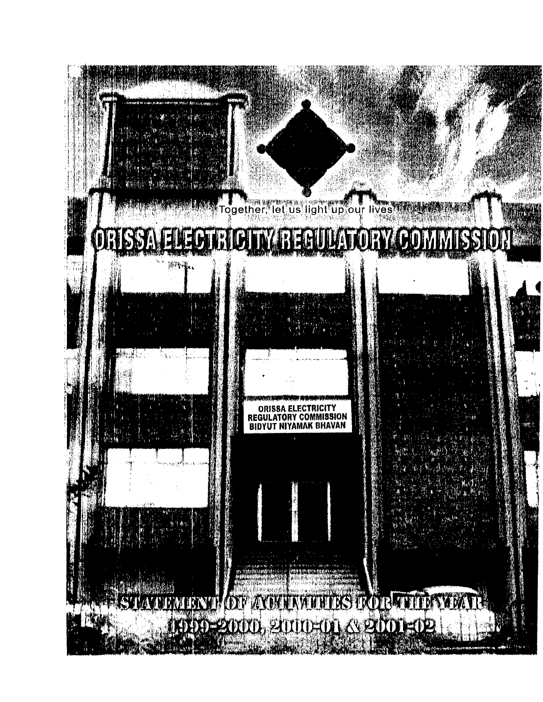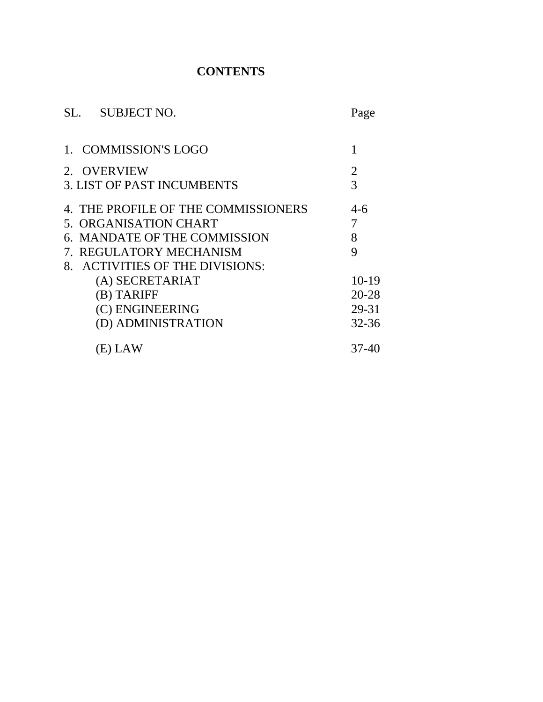# **CONTENTS**

|                                   | SL. SUBJECT NO.                     | Page           |  |
|-----------------------------------|-------------------------------------|----------------|--|
|                                   | <b>COMMISSION'S LOGO</b>            |                |  |
|                                   | 2. OVERVIEW                         | $\overline{2}$ |  |
| <b>3. LIST OF PAST INCUMBENTS</b> |                                     |                |  |
|                                   | 4. THE PROFILE OF THE COMMISSIONERS | $4-6$          |  |
|                                   | 5. ORGANISATION CHART               | 7              |  |
|                                   | 6. MANDATE OF THE COMMISSION        | 8              |  |
|                                   | <b>REGULATORY MECHANISM</b>         | 9              |  |
|                                   | 8. ACTIVITIES OF THE DIVISIONS:     |                |  |
|                                   | (A) SECRETARIAT                     | $10-19$        |  |
|                                   | (B) TARIFF                          | 20-28          |  |
|                                   | (C) ENGINEERING                     | 29-31          |  |
|                                   | (D) ADMINISTRATION                  | $32 - 36$      |  |
|                                   | (E) LAW                             | 37-40          |  |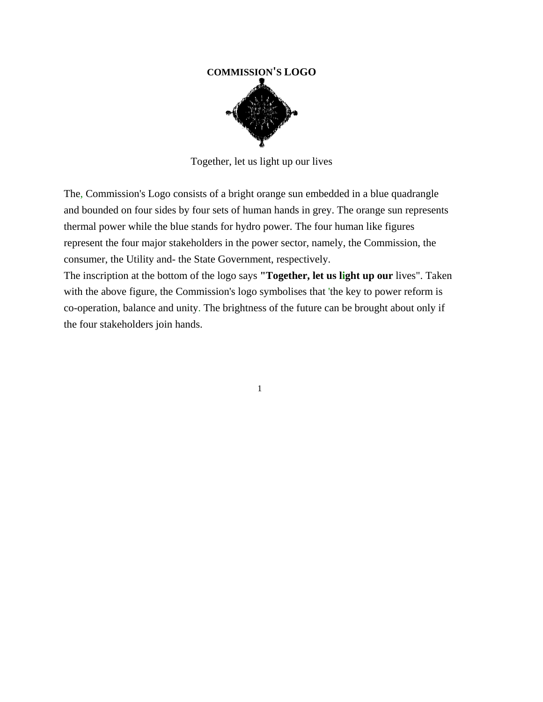# **COMMISSION'S LOGO**

Together, let us light up our lives

The, Commission's Logo consists of a bright orange sun embedded in a blue quadrangle and bounded on four sides by four sets of human hands in grey. The orange sun represents thermal power while the blue stands for hydro power. The four human like figures represent the four major stakeholders in the power sector, namely, the Commission, the consumer, the Utility and- the State Government, respectively.

The inscription at the bottom of the logo says **"Together, let us light up our** lives". Taken with the above figure, the Commission's logo symbolises that 'the key to power reform is co-operation, balance and unity. The brightness of the future can be brought about only if the four stakeholders join hands.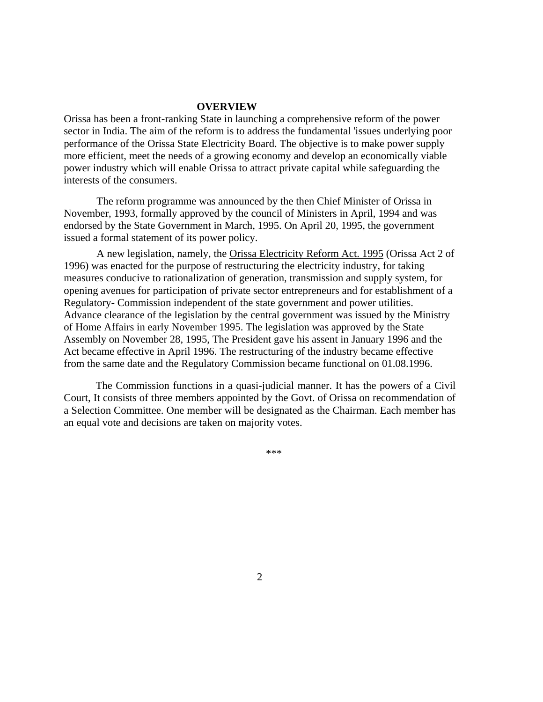#### **OVERVIEW**

Orissa has been a front-ranking State in launching a comprehensive reform of the power sector in India. The aim of the reform is to address the fundamental 'issues underlying poor performance of the Orissa State Electricity Board. The objective is to make power supply more efficient, meet the needs of a growing economy and develop an economically viable power industry which will enable Orissa to attract private capital while safeguarding the interests of the consumers.

The reform programme was announced by the then Chief Minister of Orissa in November, 1993, formally approved by the council of Ministers in April, 1994 and was endorsed by the State Government in March, 1995. On April 20, 1995, the government issued a formal statement of its power policy.

A new legislation, namely, the Orissa Electricity Reform Act. 1995 (Orissa Act 2 of 1996) was enacted for the purpose of restructuring the electricity industry, for taking measures conducive to rationalization of generation, transmission and supply system, for opening avenues for participation of private sector entrepreneurs and for establishment of a Regulatory- Commission independent of the state government and power utilities. Advance clearance of the legislation by the central government was issued by the Ministry of Home Affairs in early November 1995. The legislation was approved by the State Assembly on November 28, 1995, The President gave his assent in January 1996 and the Act became effective in April 1996. The restructuring of the industry became effective from the same date and the Regulatory Commission became functional on 01.08.1996.

The Commission functions in a quasi-judicial manner. It has the powers of a Civil Court, It consists of three members appointed by the Govt. of Orissa on recommendation of a Selection Committee. One member will be designated as the Chairman. Each member has an equal vote and decisions are taken on majority votes.

\*\*\*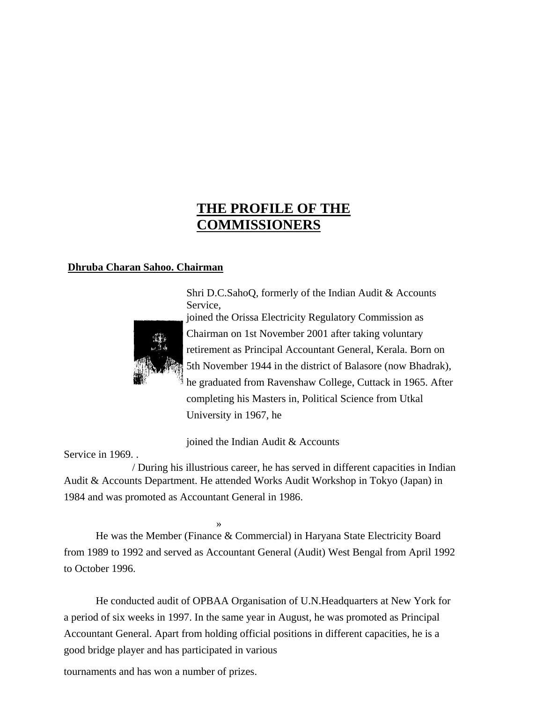# **THE PROFILE OF THE COMMISSIONERS**

#### **Dhruba Charan Sahoo. Chairman**

Shri D.C.SahoQ, formerly of the Indian Audit & Accounts Service,



joined the Orissa Electricity Regulatory Commission as Chairman on 1st November 2001 after taking voluntary retirement as Principal Accountant General, Kerala. Born on 5th November 1944 in the district of Balasore (now Bhadrak), he graduated from Ravenshaw College, Cuttack in 1965. After completing his Masters in, Political Science from Utkal University in 1967, he

joined the Indian Audit & Accounts

Service in 1969. .

/ During his illustrious career, he has served in different capacities in Indian Audit & Accounts Department. He attended Works Audit Workshop in Tokyo (Japan) in 1984 and was promoted as Accountant General in 1986.

» He was the Member (Finance & Commercial) in Haryana State Electricity Board from 1989 to 1992 and served as Accountant General (Audit) West Bengal from April 1992 to October 1996.

He conducted audit of OPBAA Organisation of U.N.Headquarters at New York for a period of six weeks in 1997. In the same year in August, he was promoted as Principal Accountant General. Apart from holding official positions in different capacities, he is a good bridge player and has participated in various

tournaments and has won a number of prizes.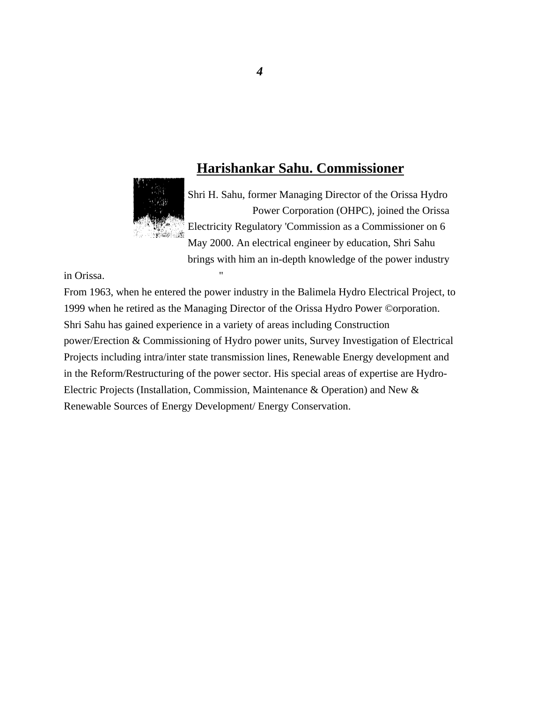# **Harishankar Sahu. Commissioner**



Shri H. Sahu, former Managing Director of the Orissa Hydro Power Corporation (OHPC), joined the Orissa Electricity Regulatory 'Commission as a Commissioner on 6 May 2000. An electrical engineer by education, Shri Sahu brings with him an in-depth knowledge of the power industry

in Orissa.

From 1963, when he entered the power industry in the Balimela Hydro Electrical Project, to 1999 when he retired as the Managing Director of the Orissa Hydro Power ©orporation. Shri Sahu has gained experience in a variety of areas including Construction power/Erection & Commissioning of Hydro power units, Survey Investigation of Electrical Projects including intra/inter state transmission lines, Renewable Energy development and in the Reform/Restructuring of the power sector. His special areas of expertise are Hydro-Electric Projects (Installation, Commission, Maintenance & Operation) and New & Renewable Sources of Energy Development/ Energy Conservation.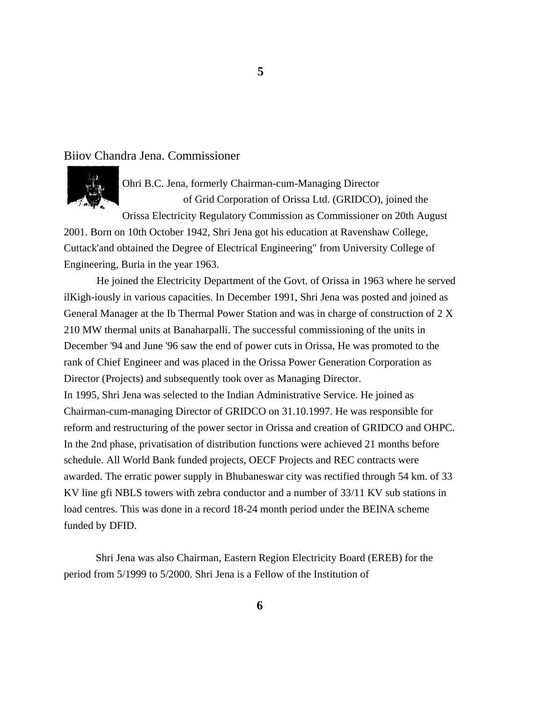#### Biiov Chandra Jena. Commissioner



Ohri B.C. Jena, formerly Chairman-cum-Managing Director of Grid Corporation of Orissa Ltd. (GRIDCO), joined the

Orissa Electricity Regulatory Commission as Commissioner on 20th August 2001. Born on 10th October 1942, Shri Jena got his education at Ravenshaw College, Cuttack'and obtained the Degree of Electrical Engineering" from University College of Engineering, Buria in the year 1963.

He joined the Electricity Department of the Govt. of Orissa in 1963 where he served ilKigh-iously in various capacities. In December 1991, Shri Jena was posted and joined as General Manager at the Ib Thermal Power Station and was in charge of construction of 2 X 210 MW thermal units at Banaharpalli. The successful commissioning of the units in December '94 and June '96 saw the end of power cuts in Orissa, He was promoted to the rank of Chief Engineer and was placed in the Orissa Power Generation Corporation as Director (Projects) and subsequently took over as Managing Director. In 1995, Shri Jena was selected to the Indian Administrative Service. He joined as Chairman-cum-managing Director of GRIDCO on 31.10.1997. He was responsible for reform and restructuring of the power sector in Orissa and creation of GRIDCO and OHPC. In the 2nd phase, privatisation of distribution functions were achieved 21 months before schedule. All World Bank funded projects, OECF Projects and REC contracts were awarded. The erratic power supply in Bhubaneswar city was rectified through 54 km. of 33 KV line gfi NBLS towers with zebra conductor and a number of 33/11 KV sub stations in load centres. This was done in a record 18-24 month period under the BEINA scheme funded by DFID.

Shri Jena was also Chairman, Eastern Region Electricity Board (EREB) for the period from 5/1999 to 5/2000. Shri Jena is a Fellow of the Institution of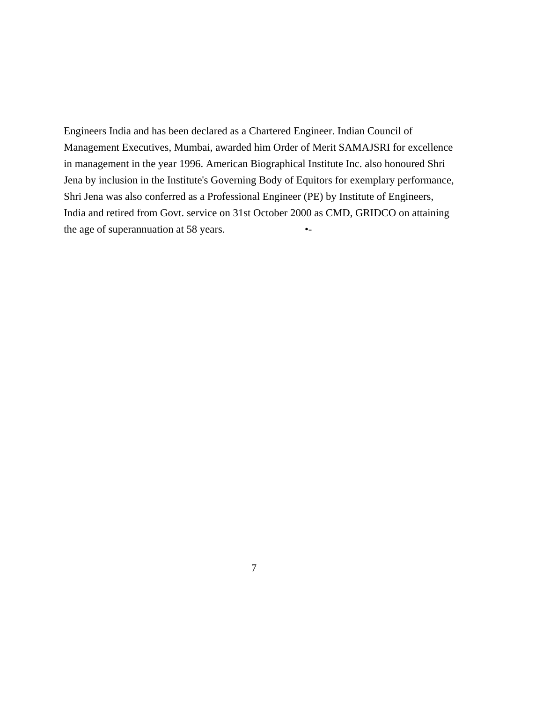Engineers India and has been declared as a Chartered Engineer. Indian Council of Management Executives, Mumbai, awarded him Order of Merit SAMAJSRI for excellence in management in the year 1996. American Biographical Institute Inc. also honoured Shri Jena by inclusion in the Institute's Governing Body of Equitors for exemplary performance, Shri Jena was also conferred as a Professional Engineer (PE) by Institute of Engineers, India and retired from Govt. service on 31st October 2000 as CMD, GRIDCO on attaining the age of superannuation at 58 years.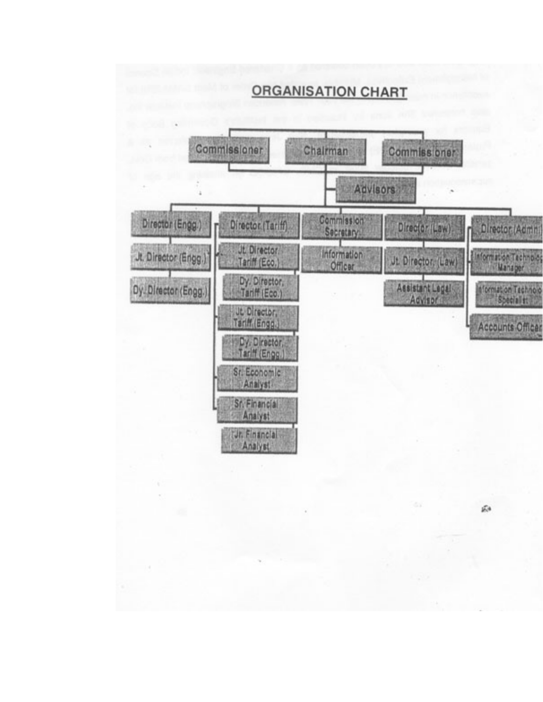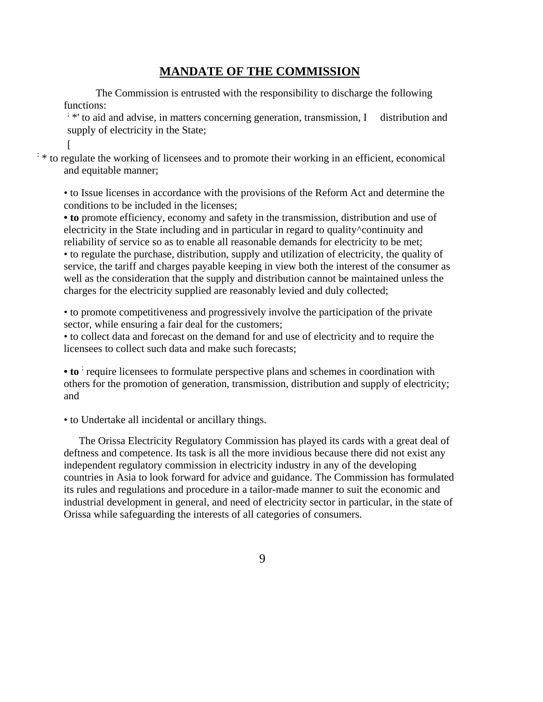## **MANDATE OF THE COMMISSION**

The Commission is entrusted with the responsibility to discharge the following functions:

<sup>:</sup> \*' to aid and advise, in matters concerning generation, transmission, I distribution and supply of electricity in the State;

[

; \* to regulate the working of licensees and to promote their working in an efficient, economical and equitable manner;

• to Issue licenses in accordance with the provisions of the Reform Act and determine the conditions to be included in the licenses;

**• to** promote efficiency, economy and safety in the transmission, distribution and use of electricity in the State including and in particular in regard to quality^continuity and reliability of service so as to enable all reasonable demands for electricity to be met; • to regulate the purchase, distribution, supply and utilization of electricity, the quality of service, the tariff and charges payable keeping in view both the interest of the consumer as well as the consideration that the supply and distribution cannot be maintained unless the charges for the electricity supplied are reasonably levied and duly collected;

• to promote competitiveness and progressively involve the participation of the private sector, while ensuring a fair deal for the customers;

• to collect data and forecast on the demand for and use of electricity and to require the licensees to collect such data and make such forecasts;

• to <sup>i</sup> require licensees to formulate perspective plans and schemes in coordination with others for the promotion of generation, transmission, distribution and supply of electricity; and

• to Undertake all incidental or ancillary things.

The Orissa Electricity Regulatory Commission has played its cards with a great deal of deftness and competence. Its task is all the more invidious because there did not exist any independent regulatory commission in electricity industry in any of the developing countries in Asia to look forward for advice and guidance. The Commission has formulated its rules and regulations and procedure in a tailor-made manner to suit the economic and industrial development in general, and need of electricity sector in particular, in the state of Orissa while safeguarding the interests of all categories of consumers.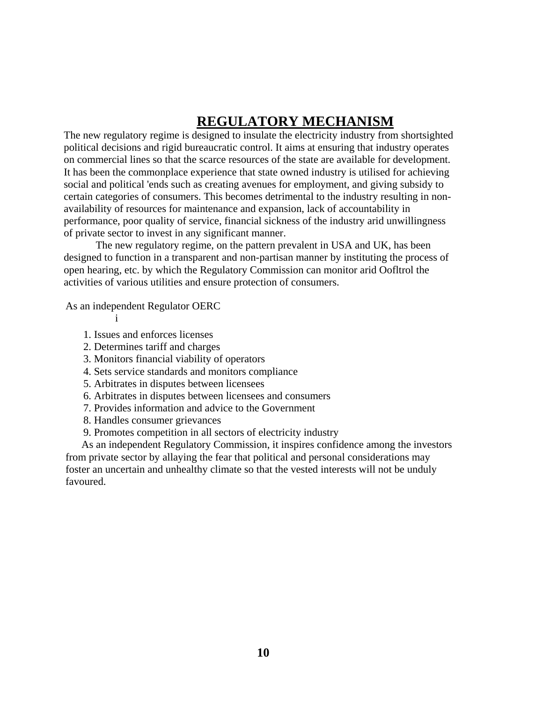# **REGULATORY MECHANISM**

The new regulatory regime is designed to insulate the electricity industry from shortsighted political decisions and rigid bureaucratic control. It aims at ensuring that industry operates on commercial lines so that the scarce resources of the state are available for development. It has been the commonplace experience that state owned industry is utilised for achieving social and political 'ends such as creating avenues for employment, and giving subsidy to certain categories of consumers. This becomes detrimental to the industry resulting in nonavailability of resources for maintenance and expansion, lack of accountability in performance, poor quality of service, financial sickness of the industry arid unwillingness of private sector to invest in any significant manner.

The new regulatory regime, on the pattern prevalent in USA and UK, has been designed to function in a transparent and non-partisan manner by instituting the process of open hearing, etc. by which the Regulatory Commission can monitor arid Oofltrol the activities of various utilities and ensure protection of consumers.

As an independent Regulator OERC

- i
- 1. Issues and enforces licenses
- 2. Determines tariff and charges
- 3. Monitors financial viability of operators
- 4. Sets service standards and monitors compliance
- 5. Arbitrates in disputes between licensees
- 6. Arbitrates in disputes between licensees and consumers
- 7. Provides information and advice to the Government
- 8. Handles consumer grievances
- 9. Promotes competition in all sectors of electricity industry

As an independent Regulatory Commission, it inspires confidence among the investors from private sector by allaying the fear that political and personal considerations may foster an uncertain and unhealthy climate so that the vested interests will not be unduly favoured.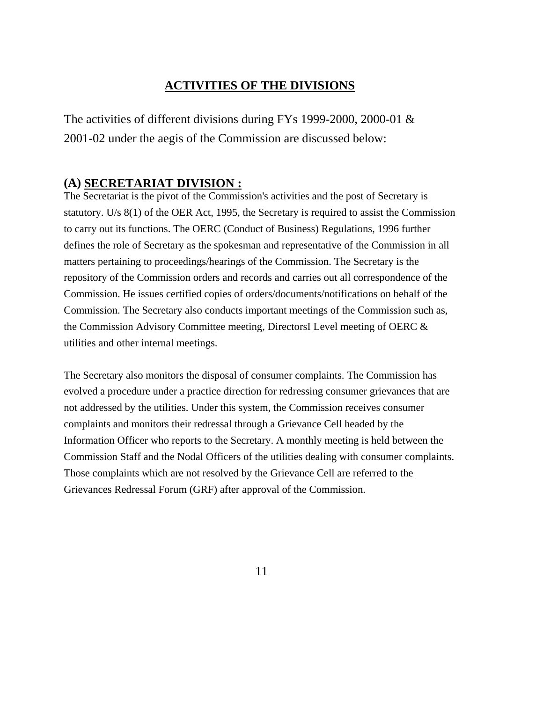# **ACTIVITIES OF THE DIVISIONS**

The activities of different divisions during FYs 1999-2000, 2000-01 & 2001-02 under the aegis of the Commission are discussed below:

## **(A) SECRETARIAT DIVISION :**

The Secretariat is the pivot of the Commission's activities and the post of Secretary is statutory. U/s 8(1) of the OER Act, 1995, the Secretary is required to assist the Commission to carry out its functions. The OERC (Conduct of Business) Regulations, 1996 further defines the role of Secretary as the spokesman and representative of the Commission in all matters pertaining to proceedings/hearings of the Commission. The Secretary is the repository of the Commission orders and records and carries out all correspondence of the Commission. He issues certified copies of orders/documents/notifications on behalf of the Commission. The Secretary also conducts important meetings of the Commission such as, the Commission Advisory Committee meeting, DirectorsI Level meeting of OERC & utilities and other internal meetings.

The Secretary also monitors the disposal of consumer complaints. The Commission has evolved a procedure under a practice direction for redressing consumer grievances that are not addressed by the utilities. Under this system, the Commission receives consumer complaints and monitors their redressal through a Grievance Cell headed by the Information Officer who reports to the Secretary. A monthly meeting is held between the Commission Staff and the Nodal Officers of the utilities dealing with consumer complaints. Those complaints which are not resolved by the Grievance Cell are referred to the Grievances Redressal Forum (GRF) after approval of the Commission.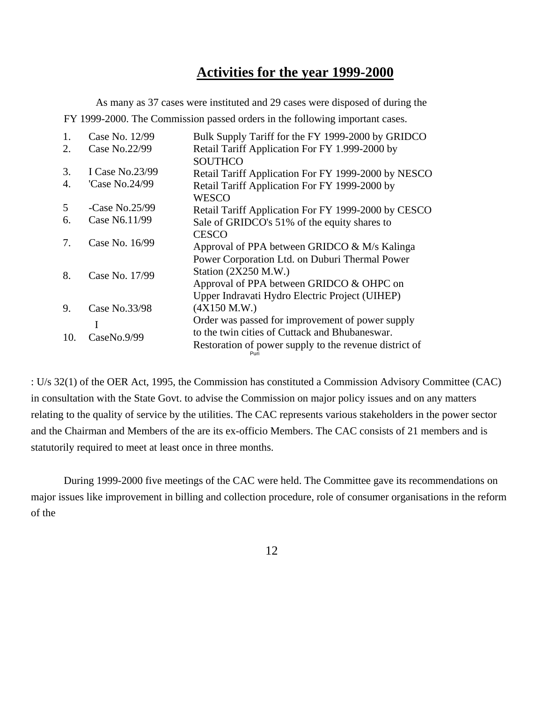# **Activities for the year 1999-2000**

As many as 37 cases were instituted and 29 cases were disposed of during the FY 1999-2000. The Commission passed orders in the following important cases.

| 1.  | Case No. 12/99  | Bulk Supply Tariff for the FY 1999-2000 by GRIDCO              |
|-----|-----------------|----------------------------------------------------------------|
| 2.  | Case No.22/99   | Retail Tariff Application For FY 1.999-2000 by                 |
|     |                 | <b>SOUTHCO</b>                                                 |
| 3.  | I Case No.23/99 | Retail Tariff Application For FY 1999-2000 by NESCO            |
| 4.  | 'Case No.24/99  | Retail Tariff Application For FY 1999-2000 by                  |
|     |                 | <b>WESCO</b>                                                   |
| 5   | -Case No.25/99  | Retail Tariff Application For FY 1999-2000 by CESCO            |
| 6.  | Case N6.11/99   | Sale of GRIDCO's 51% of the equity shares to                   |
|     | Case No. 16/99  | <b>CESCO</b>                                                   |
| 7.  |                 | Approval of PPA between GRIDCO & M/s Kalinga                   |
|     | Case No. 17/99  | Power Corporation Ltd. on Duburi Thermal Power                 |
| 8.  |                 | Station (2X250 M.W.)                                           |
|     |                 | Approval of PPA between GRIDCO & OHPC on                       |
|     |                 | Upper Indravati Hydro Electric Project (UIHEP)                 |
| 9.  | Case No.33/98   | (4X150 M.W.)                                                   |
|     | I               | Order was passed for improvement of power supply               |
| 10. | CaseNo.9/99     | to the twin cities of Cuttack and Bhubaneswar.                 |
|     |                 | Restoration of power supply to the revenue district of<br>Puri |

: U/s 32(1) of the OER Act, 1995, the Commission has constituted a Commission Advisory Committee (CAC) in consultation with the State Govt. to advise the Commission on major policy issues and on any matters relating to the quality of service by the utilities. The CAC represents various stakeholders in the power sector and the Chairman and Members of the are its ex-officio Members. The CAC consists of 21 members and is statutorily required to meet at least once in three months.

During 1999-2000 five meetings of the CAC were held. The Committee gave its recommendations on major issues like improvement in billing and collection procedure, role of consumer organisations in the reform of the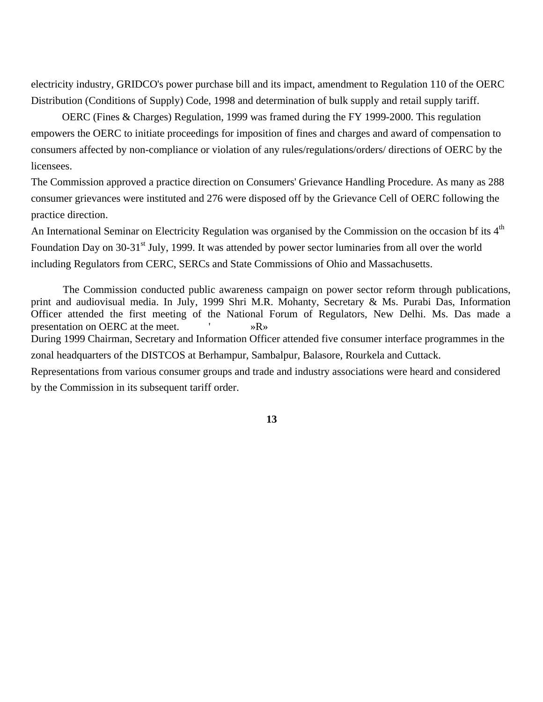electricity industry, GRIDCO's power purchase bill and its impact, amendment to Regulation 110 of the OERC Distribution (Conditions of Supply) Code, 1998 and determination of bulk supply and retail supply tariff.

OERC (Fines & Charges) Regulation, 1999 was framed during the FY 1999-2000. This regulation empowers the OERC to initiate proceedings for imposition of fines and charges and award of compensation to consumers affected by non-compliance or violation of any rules/regulations/orders/ directions of OERC by the licensees.

The Commission approved a practice direction on Consumers' Grievance Handling Procedure. As many as 288 consumer grievances were instituted and 276 were disposed off by the Grievance Cell of OERC following the practice direction.

An International Seminar on Electricity Regulation was organised by the Commission on the occasion bf its 4<sup>th</sup> Foundation Day on 30-31<sup>st</sup> July, 1999. It was attended by power sector luminaries from all over the world including Regulators from CERC, SERCs and State Commissions of Ohio and Massachusetts.

The Commission conducted public awareness campaign on power sector reform through publications, print and audiovisual media. In July, 1999 Shri M.R. Mohanty, Secretary & Ms. Purabi Das, Information Officer attended the first meeting of the National Forum of Regulators, New Delhi. Ms. Das made a presentation on OERC at the meet.  $\mathbb{R}^n$ During 1999 Chairman, Secretary and Information Officer attended five consumer interface programmes in the zonal headquarters of the DISTCOS at Berhampur, Sambalpur, Balasore, Rourkela and Cuttack. Representations from various consumer groups and trade and industry associations were heard and considered by the Commission in its subsequent tariff order.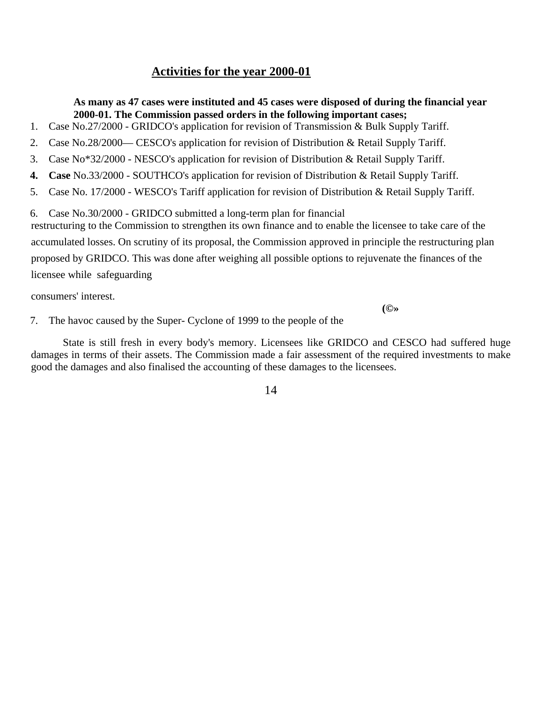# **Activities for the year 2000-01**

**As many as 47 cases were instituted and 45 cases were disposed of during the financial year 2000-01. The Commission passed orders in the following important cases;** 

- 1. Case No.27/2000 GRIDCO's application for revision of Transmission & Bulk Supply Tariff.
- 2. Case No.28/2000— CESCO's application for revision of Distribution & Retail Supply Tariff.
- 3. Case No\*32/2000 NESCO's application for revision of Distribution & Retail Supply Tariff.
- **4. Case** No.33/2000 SOUTHCO's application for revision of Distribution & Retail Supply Tariff.
- 5. Case No. 17/2000 WESCO's Tariff application for revision of Distribution & Retail Supply Tariff.
- 6. Case No.30/2000 GRIDCO submitted a long-term plan for financial

restructuring to the Commission to strengthen its own finance and to enable the licensee to take care of the accumulated losses. On scrutiny of its proposal, the Commission approved in principle the restructuring plan proposed by GRIDCO. This was done after weighing all possible options to rejuvenate the finances of the licensee while safeguarding

consumers' interest.

**(©»**

7. The havoc caused by the Super- Cyclone of 1999 to the people of the

State is still fresh in every body's memory. Licensees like GRIDCO and CESCO had suffered huge damages in terms of their assets. The Commission made a fair assessment of the required investments to make good the damages and also finalised the accounting of these damages to the licensees.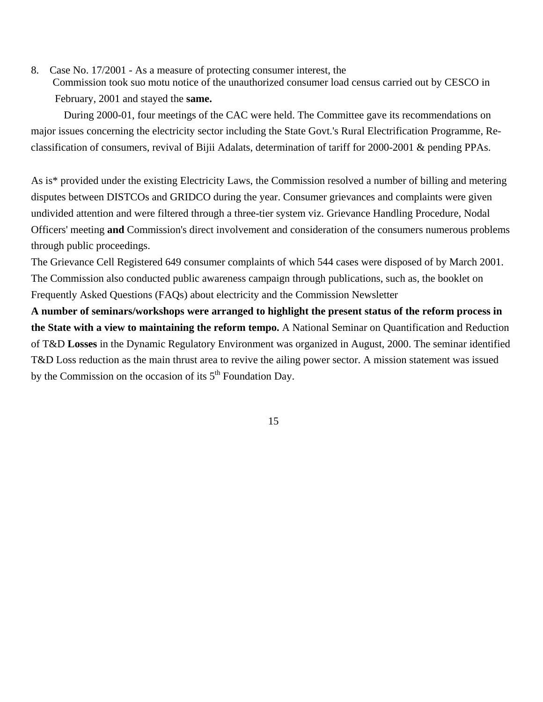8. Case No. 17/2001 - As a measure of protecting consumer interest, the Commission took suo motu notice of the unauthorized consumer load census carried out by CESCO in February, 2001 and stayed the **same.**

During 2000-01, four meetings of the CAC were held. The Committee gave its recommendations on major issues concerning the electricity sector including the State Govt.'s Rural Electrification Programme, Reclassification of consumers, revival of Bijii Adalats, determination of tariff for 2000-2001 & pending PPAs.

As is\* provided under the existing Electricity Laws, the Commission resolved a number of billing and metering disputes between DISTCOs and GRIDCO during the year. Consumer grievances and complaints were given undivided attention and were filtered through a three-tier system viz. Grievance Handling Procedure, Nodal Officers' meeting **and** Commission's direct involvement and consideration of the consumers numerous problems through public proceedings.

The Grievance Cell Registered 649 consumer complaints of which 544 cases were disposed of by March 2001. The Commission also conducted public awareness campaign through publications, such as, the booklet on Frequently Asked Questions (FAQs) about electricity and the Commission Newsletter

**A number of seminars/workshops were arranged to highlight the present status of the reform process in the State with a view to maintaining the reform tempo.** A National Seminar on Quantification and Reduction of T&D **Losses** in the Dynamic Regulatory Environment was organized in August, 2000. The seminar identified T&D Loss reduction as the main thrust area to revive the ailing power sector. A mission statement was issued by the Commission on the occasion of its  $5<sup>th</sup>$  Foundation Day.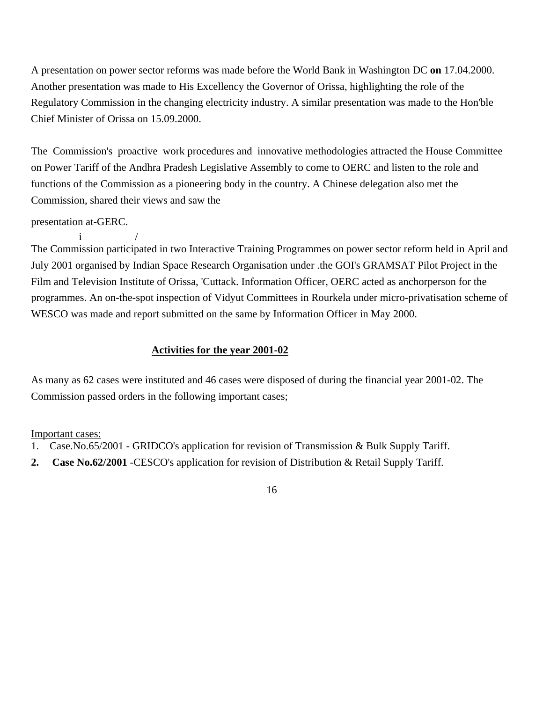A presentation on power sector reforms was made before the World Bank in Washington DC **on** 17.04.2000. Another presentation was made to His Excellency the Governor of Orissa, highlighting the role of the Regulatory Commission in the changing electricity industry. A similar presentation was made to the Hon'ble Chief Minister of Orissa on 15.09.2000.

The Commission's proactive work procedures and innovative methodologies attracted the House Committee on Power Tariff of the Andhra Pradesh Legislative Assembly to come to OERC and listen to the role and functions of the Commission as a pioneering body in the country. A Chinese delegation also met the Commission, shared their views and saw the

presentation at-GERC.

 $i$  / The Commission participated in two Interactive Training Programmes on power sector reform held in April and July 2001 organised by Indian Space Research Organisation under .the GOI's GRAMSAT Pilot Project in the Film and Television Institute of Orissa, 'Cuttack. Information Officer, OERC acted as anchorperson for the programmes. An on-the-spot inspection of Vidyut Committees in Rourkela under micro-privatisation scheme of WESCO was made and report submitted on the same by Information Officer in May 2000.

## **Activities for the year 2001-02**

As many as 62 cases were instituted and 46 cases were disposed of during the financial year 2001-02. The Commission passed orders in the following important cases;

Important cases:

- 1. Case.No.65/2001 GRIDCO's application for revision of Transmission & Bulk Supply Tariff.
- **2. Case No.62/2001** -CESCO's application for revision of Distribution & Retail Supply Tariff.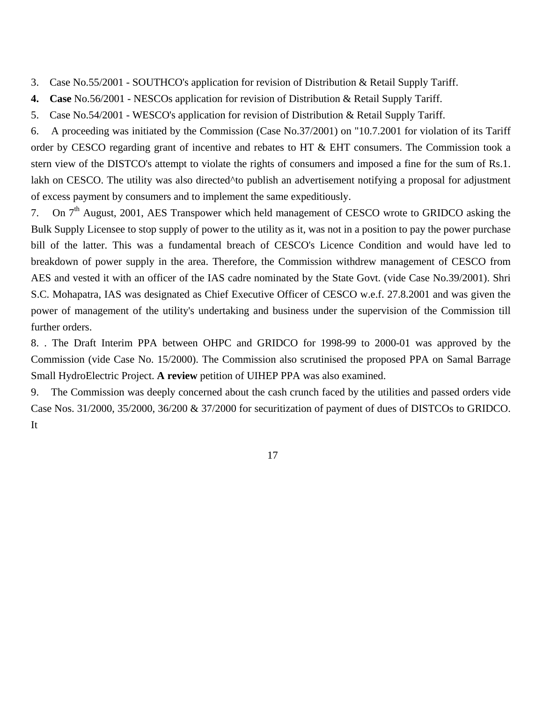- 3. Case No.55/2001 SOUTHCO's application for revision of Distribution & Retail Supply Tariff.
- **4. Case** No.56/2001 NESCOs application for revision of Distribution & Retail Supply Tariff.
- 5. Case No.54/2001 WESCO's application for revision of Distribution & Retail Supply Tariff.

6. A proceeding was initiated by the Commission (Case No.37/2001) on "10.7.2001 for violation of its Tariff order by CESCO regarding grant of incentive and rebates to HT & EHT consumers. The Commission took a stern view of the DISTCO's attempt to violate the rights of consumers and imposed a fine for the sum of Rs.1. lakh on CESCO. The utility was also directed^to publish an advertisement notifying a proposal for adjustment of excess payment by consumers and to implement the same expeditiously.

7. On  $7<sup>th</sup>$  August, 2001, AES Transpower which held management of CESCO wrote to GRIDCO asking the Bulk Supply Licensee to stop supply of power to the utility as it, was not in a position to pay the power purchase bill of the latter. This was a fundamental breach of CESCO's Licence Condition and would have led to breakdown of power supply in the area. Therefore, the Commission withdrew management of CESCO from AES and vested it with an officer of the IAS cadre nominated by the State Govt. (vide Case No.39/2001). Shri S.C. Mohapatra, IAS was designated as Chief Executive Officer of CESCO w.e.f. 27.8.2001 and was given the power of management of the utility's undertaking and business under the supervision of the Commission till further orders.

8. . The Draft Interim PPA between OHPC and GRIDCO for 1998-99 to 2000-01 was approved by the Commission (vide Case No. 15/2000). The Commission also scrutinised the proposed PPA on Samal Barrage Small HydroElectric Project. **A review** petition of UIHEP PPA was also examined.

9. The Commission was deeply concerned about the cash crunch faced by the utilities and passed orders vide Case Nos. 31/2000, 35/2000, 36/200 & 37/2000 for securitization of payment of dues of DISTCOs to GRIDCO. It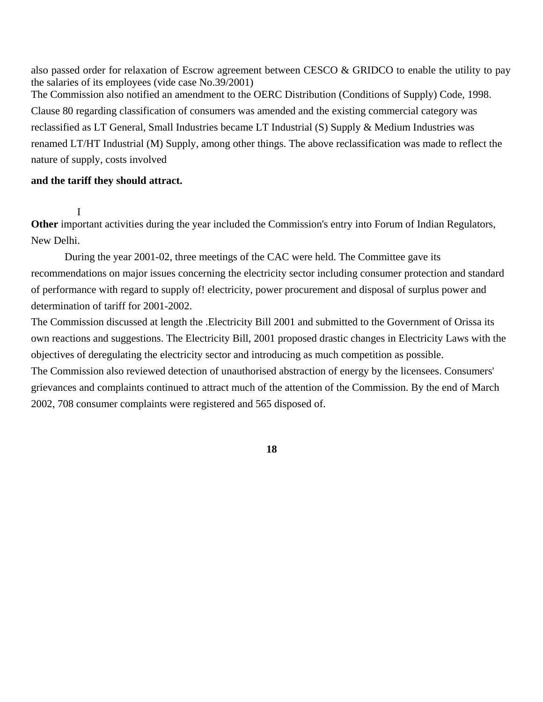also passed order for relaxation of Escrow agreement between CESCO & GRIDCO to enable the utility to pay the salaries of its employees (vide case No.39/2001) The Commission also notified an amendment to the OERC Distribution (Conditions of Supply) Code, 1998. Clause 80 regarding classification of consumers was amended and the existing commercial category was reclassified as LT General, Small Industries became LT Industrial (S) Supply & Medium Industries was renamed LT/HT Industrial (M) Supply, among other things. The above reclassification was made to reflect the nature of supply, costs involved

#### **and the tariff they should attract.**

I

**Other** important activities during the year included the Commission's entry into Forum of Indian Regulators, New Delhi.

During the year 2001-02, three meetings of the CAC were held. The Committee gave its recommendations on major issues concerning the electricity sector including consumer protection and standard of performance with regard to supply of! electricity, power procurement and disposal of surplus power and determination of tariff for 2001-2002.

The Commission discussed at length the .Electricity Bill 2001 and submitted to the Government of Orissa its own reactions and suggestions. The Electricity Bill, 2001 proposed drastic changes in Electricity Laws with the objectives of deregulating the electricity sector and introducing as much competition as possible. The Commission also reviewed detection of unauthorised abstraction of energy by the licensees. Consumers'

grievances and complaints continued to attract much of the attention of the Commission. By the end of March 2002, 708 consumer complaints were registered and 565 disposed of.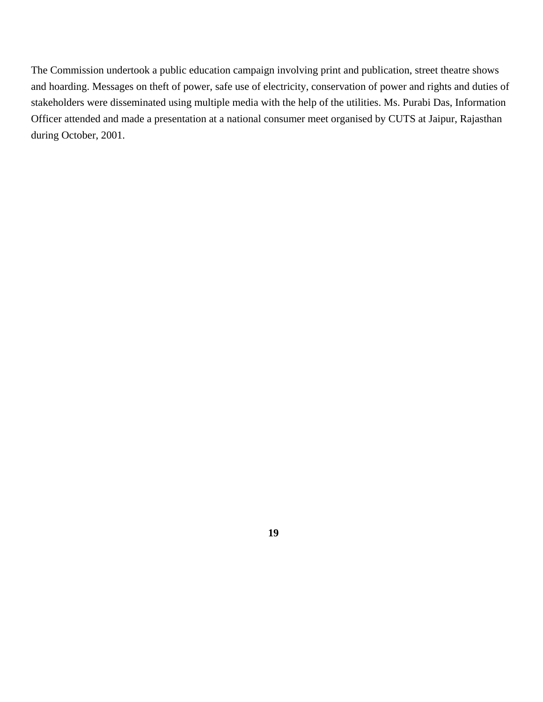The Commission undertook a public education campaign involving print and publication, street theatre shows and hoarding. Messages on theft of power, safe use of electricity, conservation of power and rights and duties of stakeholders were disseminated using multiple media with the help of the utilities. Ms. Purabi Das, Information Officer attended and made a presentation at a national consumer meet organised by CUTS at Jaipur, Rajasthan during October, 2001.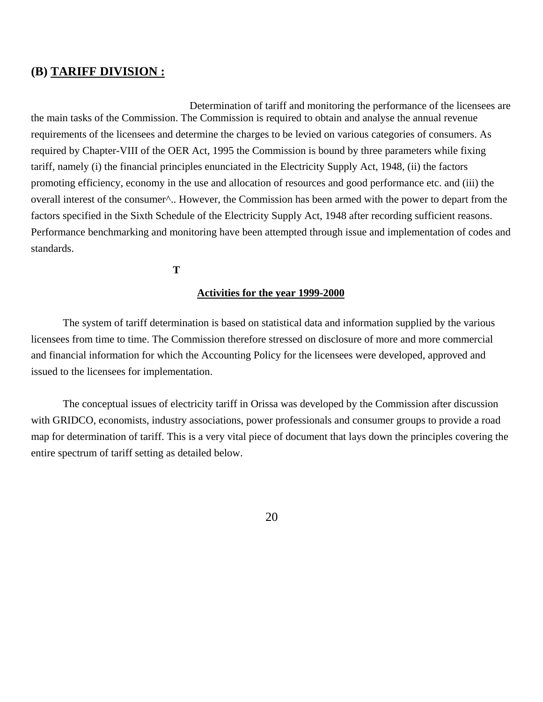#### **(B) TARIFF DIVISION :**

Determination of tariff and monitoring the performance of the licensees are the main tasks of the Commission. The Commission is required to obtain and analyse the annual revenue requirements of the licensees and determine the charges to be levied on various categories of consumers. As required by Chapter-VIII of the OER Act, 1995 the Commission is bound by three parameters while fixing tariff, namely (i) the financial principles enunciated in the Electricity Supply Act, 1948, (ii) the factors promoting efficiency, economy in the use and allocation of resources and good performance etc. and (iii) the overall interest of the consumer^.. However, the Commission has been armed with the power to depart from the factors specified in the Sixth Schedule of the Electricity Supply Act, 1948 after recording sufficient reasons. Performance benchmarking and monitoring have been attempted through issue and implementation of codes and standards.

**T**

#### **Activities for the year 1999-2000**

The system of tariff determination is based on statistical data and information supplied by the various licensees from time to time. The Commission therefore stressed on disclosure of more and more commercial and financial information for which the Accounting Policy for the licensees were developed, approved and issued to the licensees for implementation.

The conceptual issues of electricity tariff in Orissa was developed by the Commission after discussion with GRIDCO, economists, industry associations, power professionals and consumer groups to provide a road map for determination of tariff. This is a very vital piece of document that lays down the principles covering the entire spectrum of tariff setting as detailed below.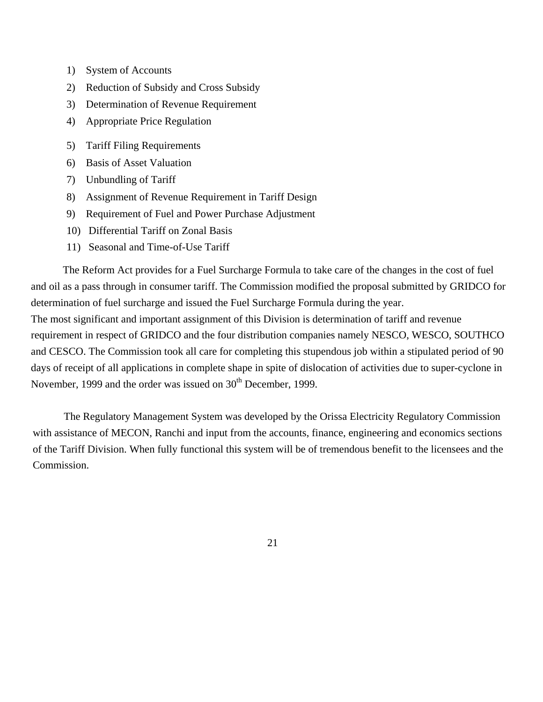- 1) System of Accounts
- 2) Reduction of Subsidy and Cross Subsidy
- 3) Determination of Revenue Requirement
- 4) Appropriate Price Regulation
- 5) Tariff Filing Requirements
- 6) Basis of Asset Valuation
- 7) Unbundling of Tariff
- 8) Assignment of Revenue Requirement in Tariff Design
- 9) Requirement of Fuel and Power Purchase Adjustment
- 10) Differential Tariff on Zonal Basis
- 11) Seasonal and Time-of-Use Tariff

The Reform Act provides for a Fuel Surcharge Formula to take care of the changes in the cost of fuel and oil as a pass through in consumer tariff. The Commission modified the proposal submitted by GRIDCO for determination of fuel surcharge and issued the Fuel Surcharge Formula during the year.

The most significant and important assignment of this Division is determination of tariff and revenue requirement in respect of GRIDCO and the four distribution companies namely NESCO, WESCO, SOUTHCO and CESCO. The Commission took all care for completing this stupendous job within a stipulated period of 90 days of receipt of all applications in complete shape in spite of dislocation of activities due to super-cyclone in November, 1999 and the order was issued on 30<sup>th</sup> December, 1999.

The Regulatory Management System was developed by the Orissa Electricity Regulatory Commission with assistance of MECON, Ranchi and input from the accounts, finance, engineering and economics sections of the Tariff Division. When fully functional this system will be of tremendous benefit to the licensees and the Commission.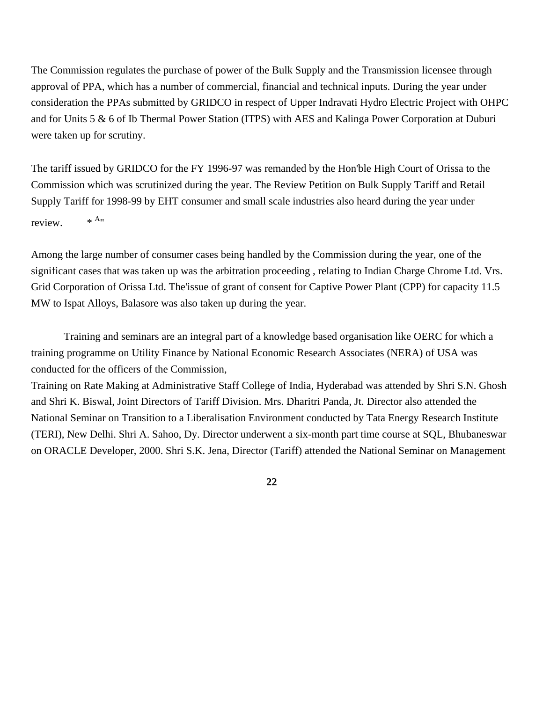The Commission regulates the purchase of power of the Bulk Supply and the Transmission licensee through approval of PPA, which has a number of commercial, financial and technical inputs. During the year under consideration the PPAs submitted by GRIDCO in respect of Upper Indravati Hydro Electric Project with OHPC and for Units 5 & 6 of Ib Thermal Power Station (ITPS) with AES and Kalinga Power Corporation at Duburi were taken up for scrutiny.

The tariff issued by GRIDCO for the FY 1996-97 was remanded by the Hon'ble High Court of Orissa to the Commission which was scrutinized during the year. The Review Petition on Bulk Supply Tariff and Retail Supply Tariff for 1998-99 by EHT consumer and small scale industries also heard during the year under review.  $*^{A_{\nu}}$ 

Among the large number of consumer cases being handled by the Commission during the year, one of the significant cases that was taken up was the arbitration proceeding , relating to Indian Charge Chrome Ltd. Vrs. Grid Corporation of Orissa Ltd. The issue of grant of consent for Captive Power Plant (CPP) for capacity 11.5 MW to Ispat Alloys, Balasore was also taken up during the year.

Training and seminars are an integral part of a knowledge based organisation like OERC for which a training programme on Utility Finance by National Economic Research Associates (NERA) of USA was conducted for the officers of the Commission,

Training on Rate Making at Administrative Staff College of India, Hyderabad was attended by Shri S.N. Ghosh and Shri K. Biswal, Joint Directors of Tariff Division. Mrs. Dharitri Panda, Jt. Director also attended the National Seminar on Transition to a Liberalisation Environment conducted by Tata Energy Research Institute (TERI), New Delhi. Shri A. Sahoo, Dy. Director underwent a six-month part time course at SQL, Bhubaneswar on ORACLE Developer, 2000. Shri S.K. Jena, Director (Tariff) attended the National Seminar on Management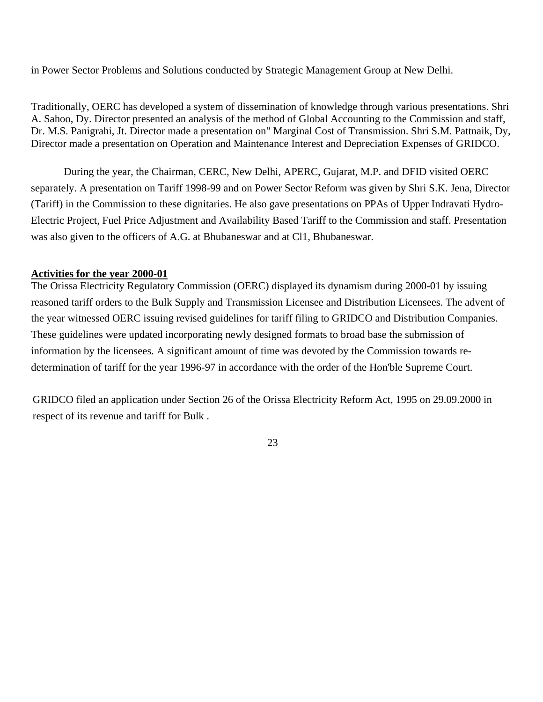in Power Sector Problems and Solutions conducted by Strategic Management Group at New Delhi.

Traditionally, OERC has developed a system of dissemination of knowledge through various presentations. Shri A. Sahoo, Dy. Director presented an analysis of the method of Global Accounting to the Commission and staff, Dr. M.S. Panigrahi, Jt. Director made a presentation on" Marginal Cost of Transmission. Shri S.M. Pattnaik, Dy, Director made a presentation on Operation and Maintenance Interest and Depreciation Expenses of GRIDCO.

During the year, the Chairman, CERC, New Delhi, APERC, Gujarat, M.P. and DFID visited OERC separately. A presentation on Tariff 1998-99 and on Power Sector Reform was given by Shri S.K. Jena, Director (Tariff) in the Commission to these dignitaries. He also gave presentations on PPAs of Upper Indravati Hydro-Electric Project, Fuel Price Adjustment and Availability Based Tariff to the Commission and staff. Presentation was also given to the officers of A.G. at Bhubaneswar and at Cl1, Bhubaneswar.

#### **Activities for the year 2000-01**

The Orissa Electricity Regulatory Commission (OERC) displayed its dynamism during 2000-01 by issuing reasoned tariff orders to the Bulk Supply and Transmission Licensee and Distribution Licensees. The advent of the year witnessed OERC issuing revised guidelines for tariff filing to GRIDCO and Distribution Companies. These guidelines were updated incorporating newly designed formats to broad base the submission of information by the licensees. A significant amount of time was devoted by the Commission towards redetermination of tariff for the year 1996-97 in accordance with the order of the Hon'ble Supreme Court.

GRIDCO filed an application under Section 26 of the Orissa Electricity Reform Act, 1995 on 29.09.2000 in respect of its revenue and tariff for Bulk .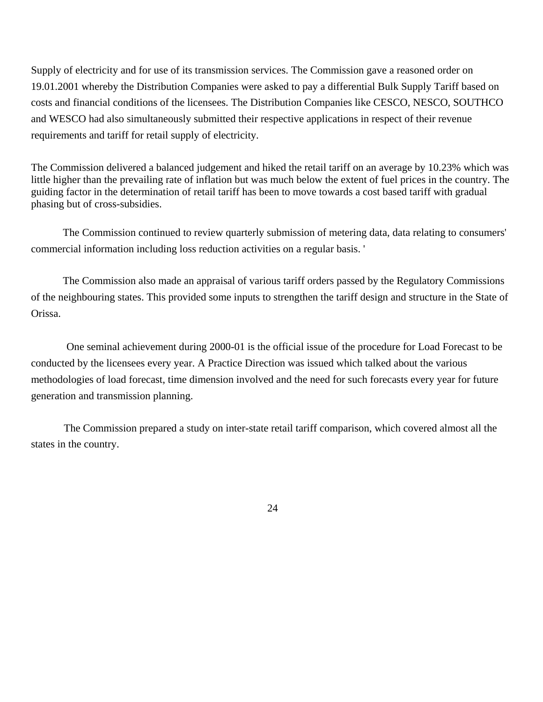Supply of electricity and for use of its transmission services. The Commission gave a reasoned order on 19.01.2001 whereby the Distribution Companies were asked to pay a differential Bulk Supply Tariff based on costs and financial conditions of the licensees. The Distribution Companies like CESCO, NESCO, SOUTHCO and WESCO had also simultaneously submitted their respective applications in respect of their revenue requirements and tariff for retail supply of electricity.

The Commission delivered a balanced judgement and hiked the retail tariff on an average by 10.23% which was little higher than the prevailing rate of inflation but was much below the extent of fuel prices in the country. The guiding factor in the determination of retail tariff has been to move towards a cost based tariff with gradual phasing but of cross-subsidies.

The Commission continued to review quarterly submission of metering data, data relating to consumers' commercial information including loss reduction activities on a regular basis. '

The Commission also made an appraisal of various tariff orders passed by the Regulatory Commissions of the neighbouring states. This provided some inputs to strengthen the tariff design and structure in the State of Orissa.

One seminal achievement during 2000-01 is the official issue of the procedure for Load Forecast to be conducted by the licensees every year. A Practice Direction was issued which talked about the various methodologies of load forecast, time dimension involved and the need for such forecasts every year for future generation and transmission planning.

The Commission prepared a study on inter-state retail tariff comparison, which covered almost all the states in the country.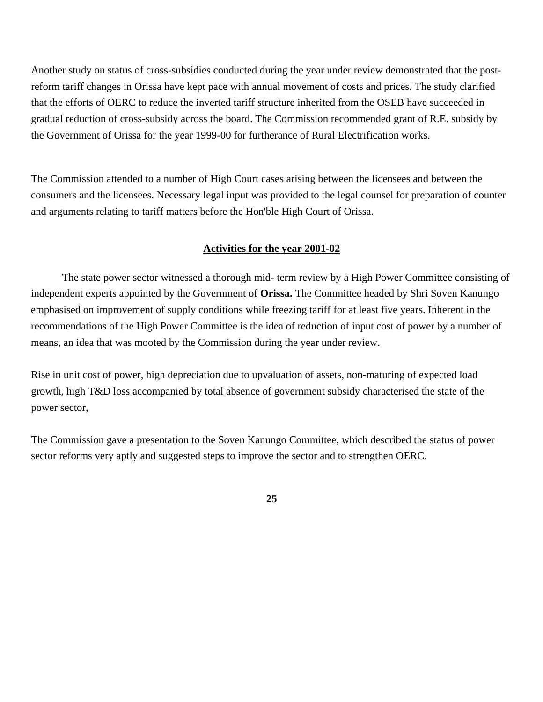Another study on status of cross-subsidies conducted during the year under review demonstrated that the postreform tariff changes in Orissa have kept pace with annual movement of costs and prices. The study clarified that the efforts of OERC to reduce the inverted tariff structure inherited from the OSEB have succeeded in gradual reduction of cross-subsidy across the board. The Commission recommended grant of R.E. subsidy by the Government of Orissa for the year 1999-00 for furtherance of Rural Electrification works.

The Commission attended to a number of High Court cases arising between the licensees and between the consumers and the licensees. Necessary legal input was provided to the legal counsel for preparation of counter and arguments relating to tariff matters before the Hon'ble High Court of Orissa.

#### **Activities for the year 2001-02**

The state power sector witnessed a thorough mid- term review by a High Power Committee consisting of independent experts appointed by the Government of **Orissa.** The Committee headed by Shri Soven Kanungo emphasised on improvement of supply conditions while freezing tariff for at least five years. Inherent in the recommendations of the High Power Committee is the idea of reduction of input cost of power by a number of means, an idea that was mooted by the Commission during the year under review.

Rise in unit cost of power, high depreciation due to upvaluation of assets, non-maturing of expected load growth, high T&D loss accompanied by total absence of government subsidy characterised the state of the power sector,

The Commission gave a presentation to the Soven Kanungo Committee, which described the status of power sector reforms very aptly and suggested steps to improve the sector and to strengthen OERC.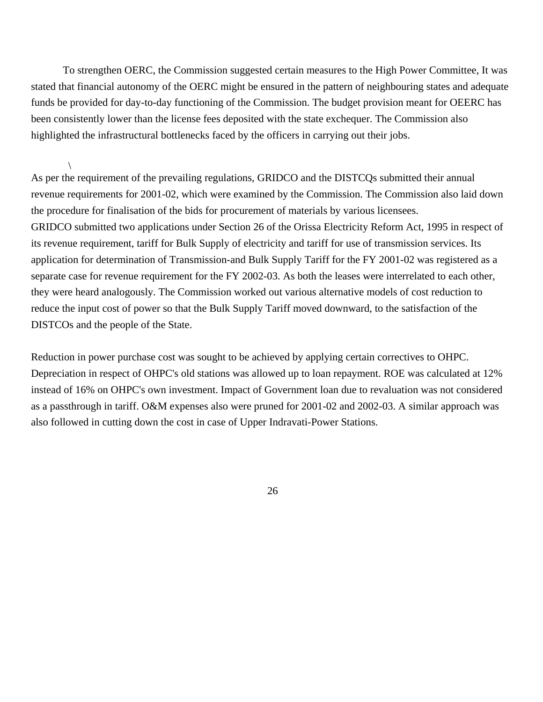To strengthen OERC, the Commission suggested certain measures to the High Power Committee, It was stated that financial autonomy of the OERC might be ensured in the pattern of neighbouring states and adequate funds be provided for day-to-day functioning of the Commission. The budget provision meant for OEERC has been consistently lower than the license fees deposited with the state exchequer. The Commission also highlighted the infrastructural bottlenecks faced by the officers in carrying out their jobs.

 $\setminus$ As per the requirement of the prevailing regulations, GRIDCO and the DISTCQs submitted their annual revenue requirements for 2001-02, which were examined by the Commission. The Commission also laid down the procedure for finalisation of the bids for procurement of materials by various licensees. GRIDCO submitted two applications under Section 26 of the Orissa Electricity Reform Act, 1995 in respect of its revenue requirement, tariff for Bulk Supply of electricity and tariff for use of transmission services. Its application for determination of Transmission-and Bulk Supply Tariff for the FY 2001-02 was registered as a separate case for revenue requirement for the FY 2002-03. As both the leases were interrelated to each other, they were heard analogously. The Commission worked out various alternative models of cost reduction to reduce the input cost of power so that the Bulk Supply Tariff moved downward, to the satisfaction of the DISTCOs and the people of the State.

Reduction in power purchase cost was sought to be achieved by applying certain correctives to OHPC. Depreciation in respect of OHPC's old stations was allowed up to loan repayment. ROE was calculated at 12% instead of 16% on OHPC's own investment. Impact of Government loan due to revaluation was not considered as a passthrough in tariff. O&M expenses also were pruned for 2001-02 and 2002-03. A similar approach was also followed in cutting down the cost in case of Upper Indravati-Power Stations.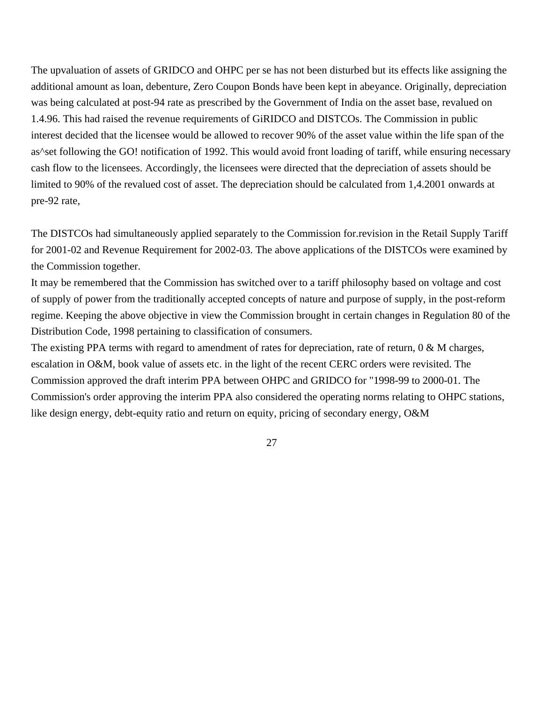The upvaluation of assets of GRIDCO and OHPC per se has not been disturbed but its effects like assigning the additional amount as loan, debenture, Zero Coupon Bonds have been kept in abeyance. Originally, depreciation was being calculated at post-94 rate as prescribed by the Government of India on the asset base, revalued on 1.4.96. This had raised the revenue requirements of GiRIDCO and DISTCOs. The Commission in public interest decided that the licensee would be allowed to recover 90% of the asset value within the life span of the as^set following the GO! notification of 1992. This would avoid front loading of tariff, while ensuring necessary cash flow to the licensees. Accordingly, the licensees were directed that the depreciation of assets should be limited to 90% of the revalued cost of asset. The depreciation should be calculated from 1,4.2001 onwards at pre-92 rate,

The DISTCOs had simultaneously applied separately to the Commission for.revision in the Retail Supply Tariff for 2001-02 and Revenue Requirement for 2002-03. The above applications of the DISTCOs were examined by the Commission together.

It may be remembered that the Commission has switched over to a tariff philosophy based on voltage and cost of supply of power from the traditionally accepted concepts of nature and purpose of supply, in the post-reform regime. Keeping the above objective in view the Commission brought in certain changes in Regulation 80 of the Distribution Code, 1998 pertaining to classification of consumers.

The existing PPA terms with regard to amendment of rates for depreciation, rate of return, 0 & M charges, escalation in O&M, book value of assets etc. in the light of the recent CERC orders were revisited. The Commission approved the draft interim PPA between OHPC and GRIDCO for "1998-99 to 2000-01. The Commission's order approving the interim PPA also considered the operating norms relating to OHPC stations, like design energy, debt-equity ratio and return on equity, pricing of secondary energy, O&M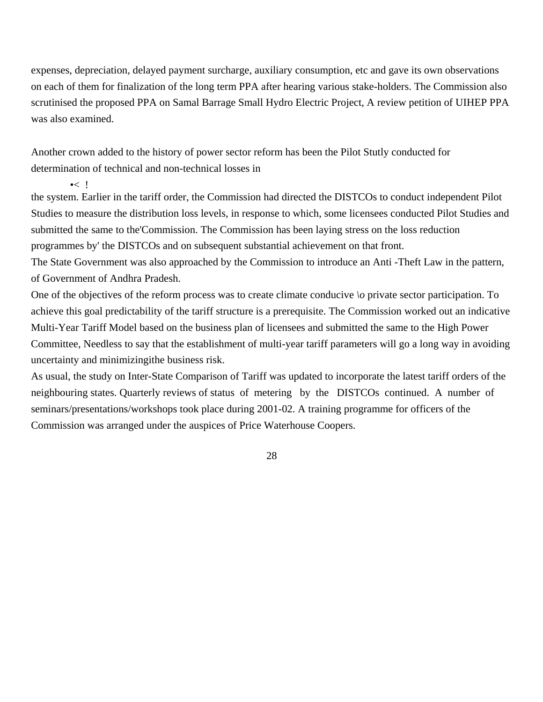expenses, depreciation, delayed payment surcharge, auxiliary consumption, etc and gave its own observations on each of them for finalization of the long term PPA after hearing various stake-holders. The Commission also scrutinised the proposed PPA on Samal Barrage Small Hydro Electric Project, A review petition of UIHEP PPA was also examined.

Another crown added to the history of power sector reform has been the Pilot Stutly conducted for determination of technical and non-technical losses in

 $\sim$  1

the system. Earlier in the tariff order, the Commission had directed the DISTCOs to conduct independent Pilot Studies to measure the distribution loss levels, in response to which, some licensees conducted Pilot Studies and submitted the same to the'Commission. The Commission has been laying stress on the loss reduction programmes by' the DISTCOs and on subsequent substantial achievement on that front.

The State Government was also approached by the Commission to introduce an Anti -Theft Law in the pattern, of Government of Andhra Pradesh.

One of the objectives of the reform process was to create climate conducive *\o* private sector participation. To achieve this goal predictability of the tariff structure is a prerequisite. The Commission worked out an indicative Multi-Year Tariff Model based on the business plan of licensees and submitted the same to the High Power Committee, Needless to say that the establishment of multi-year tariff parameters will go a long way in avoiding uncertainty and minimizingithe business risk.

As usual, the study on Inter-State Comparison of Tariff was updated to incorporate the latest tariff orders of the neighbouring states. Quarterly reviews of status of metering by the DISTCOs continued. A number of seminars/presentations/workshops took place during 2001-02. A training programme for officers of the Commission was arranged under the auspices of Price Waterhouse Coopers.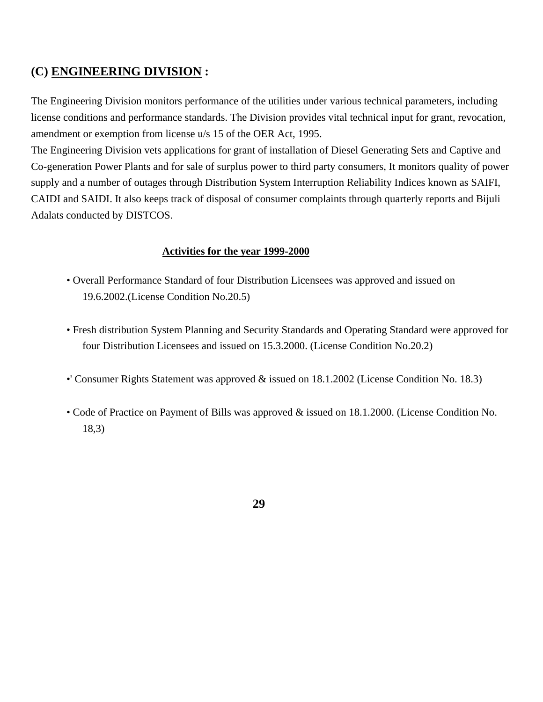## **(C) ENGINEERING DIVISION :**

The Engineering Division monitors performance of the utilities under various technical parameters, including license conditions and performance standards. The Division provides vital technical input for grant, revocation, amendment or exemption from license u/s 15 of the OER Act, 1995.

The Engineering Division vets applications for grant of installation of Diesel Generating Sets and Captive and Co-generation Power Plants and for sale of surplus power to third party consumers, It monitors quality of power supply and a number of outages through Distribution System Interruption Reliability Indices known as SAIFI, CAIDI and SAIDI. It also keeps track of disposal of consumer complaints through quarterly reports and Bijuli Adalats conducted by DISTCOS.

#### **Activities for the year 1999-2000**

- Overall Performance Standard of four Distribution Licensees was approved and issued on 19.6.2002.(License Condition No.20.5)
- Fresh distribution System Planning and Security Standards and Operating Standard were approved for four Distribution Licensees and issued on 15.3.2000. (License Condition No.20.2)
- •' Consumer Rights Statement was approved & issued on 18.1.2002 (License Condition No. 18.3)
- Code of Practice on Payment of Bills was approved & issued on 18.1.2000. (License Condition No. 18,3)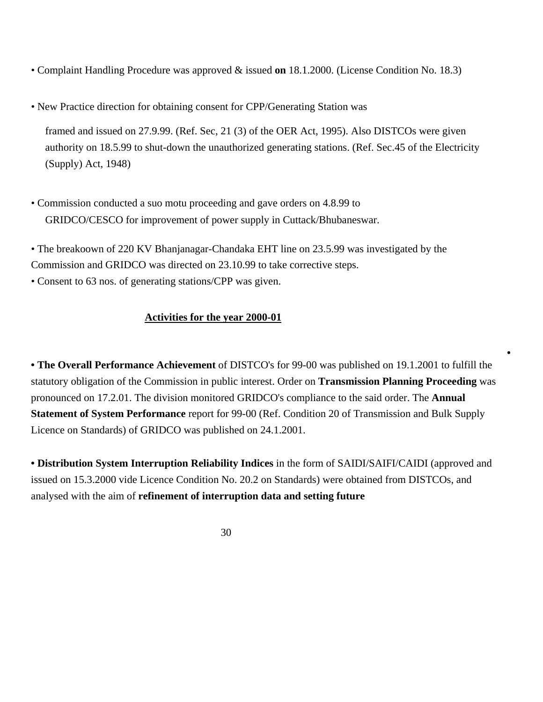- Complaint Handling Procedure was approved & issued **on** 18.1.2000. (License Condition No. 18.3)
- New Practice direction for obtaining consent for CPP/Generating Station was

framed and issued on 27.9.99. (Ref. Sec, 21 (3) of the OER Act, 1995). Also DISTCOs were given authority on 18.5.99 to shut-down the unauthorized generating stations. (Ref. Sec.45 of the Electricity (Supply) Act, 1948)

• Commission conducted a suo motu proceeding and gave orders on 4.8.99 to GRIDCO/CESCO for improvement of power supply in Cuttack/Bhubaneswar.

• The breakoown of 220 KV Bhanjanagar-Chandaka EHT line on 23.5.99 was investigated by the Commission and GRIDCO was directed on 23.10.99 to take corrective steps.

• Consent to 63 nos. of generating stations/CPP was given.

## **Activities for the year 2000-01**

**• The Overall Performance Achievement** of DISTCO's for 99-00 was published on 19.1.2001 to fulfill the statutory obligation of the Commission in public interest. Order on **Transmission Planning Proceeding** was pronounced on 17.2.01. The division monitored GRIDCO's compliance to the said order. The **Annual Statement of System Performance** report for 99-00 (Ref. Condition 20 of Transmission and Bulk Supply Licence on Standards) of GRIDCO was published on 24.1.2001.

**•**

**• Distribution System Interruption Reliability Indices** in the form of SAIDI/SAIFI/CAIDI (approved and issued on 15.3.2000 vide Licence Condition No. 20.2 on Standards) were obtained from DISTCOs, and analysed with the aim of **refinement of interruption data and setting future**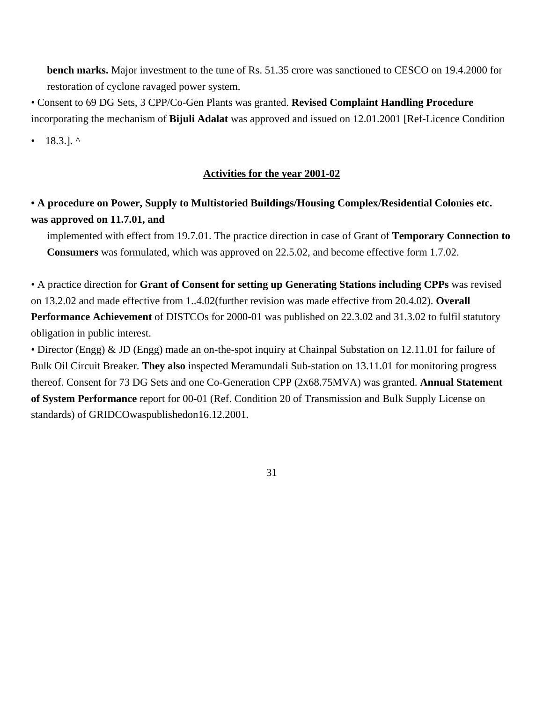**bench marks.** Major investment to the tune of Rs. 51.35 crore was sanctioned to CESCO on 19.4.2000 for restoration of cyclone ravaged power system.

• Consent to 69 DG Sets, 3 CPP/Co-Gen Plants was granted. **Revised Complaint Handling Procedure** incorporating the mechanism of **Bijuli Adalat** was approved and issued on 12.01.2001 [Ref-Licence Condition

• 18.3.].  $^{\circ}$ 

#### **Activities for the year 2001-02**

## **• A procedure on Power, Supply to Multistoried Buildings/Housing Complex/Residential Colonies etc. was approved on 11.7.01, and**

implemented with effect from 19.7.01. The practice direction in case of Grant of **Temporary Connection to Consumers** was formulated, which was approved on 22.5.02, and become effective form 1.7.02.

• A practice direction for **Grant of Consent for setting up Generating Stations including CPPs** was revised on 13.2.02 and made effective from 1..4.02(further revision was made effective from 20.4.02). **Overall Performance Achievement** of DISTCOs for 2000-01 was published on 22.3.02 and 31.3.02 to fulfil statutory obligation in public interest.

• Director (Engg) & JD (Engg) made an on-the-spot inquiry at Chainpal Substation on 12.11.01 for failure of Bulk Oil Circuit Breaker. **They also** inspected Meramundali Sub-station on 13.11.01 for monitoring progress thereof. Consent for 73 DG Sets and one Co-Generation CPP (2x68.75MVA) was granted. **Annual Statement of System Performance** report for 00-01 (Ref. Condition 20 of Transmission and Bulk Supply License on standards) of GRIDCOwaspublishedon16.12.2001.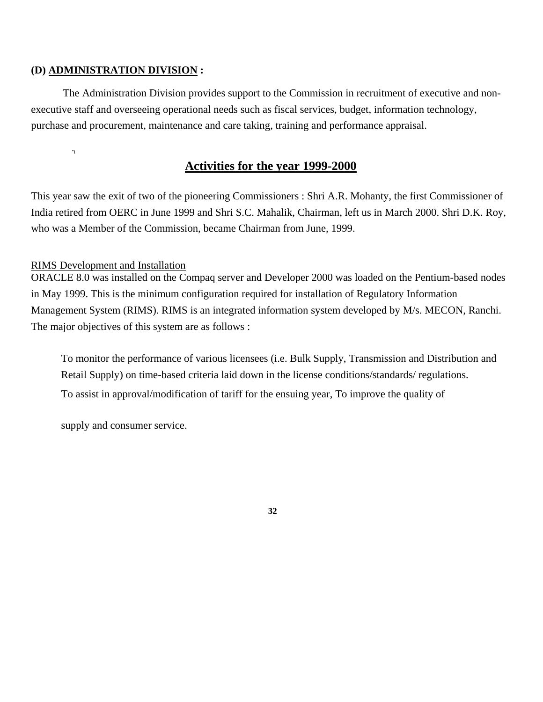#### **(D) ADMINISTRATION DIVISION :**

The Administration Division provides support to the Commission in recruitment of executive and nonexecutive staff and overseeing operational needs such as fiscal services, budget, information technology, purchase and procurement, maintenance and care taking, training and performance appraisal.

"i

## **Activities for the year 1999-2000**

This year saw the exit of two of the pioneering Commissioners : Shri A.R. Mohanty, the first Commissioner of India retired from OERC in June 1999 and Shri S.C. Mahalik, Chairman, left us in March 2000. Shri D.K. Roy, who was a Member of the Commission, became Chairman from June, 1999.

#### RIMS Development and Installation

ORACLE 8.0 was installed on the Compaq server and Developer 2000 was loaded on the Pentium-based nodes in May 1999. This is the minimum configuration required for installation of Regulatory Information Management System (RIMS). RIMS is an integrated information system developed by M/s. MECON, Ranchi. The major objectives of this system are as follows :

To monitor the performance of various licensees (i.e. Bulk Supply, Transmission and Distribution and Retail Supply) on time-based criteria laid down in the license conditions/standards/ regulations. To assist in approval/modification of tariff for the ensuing year, To improve the quality of

supply and consumer service.

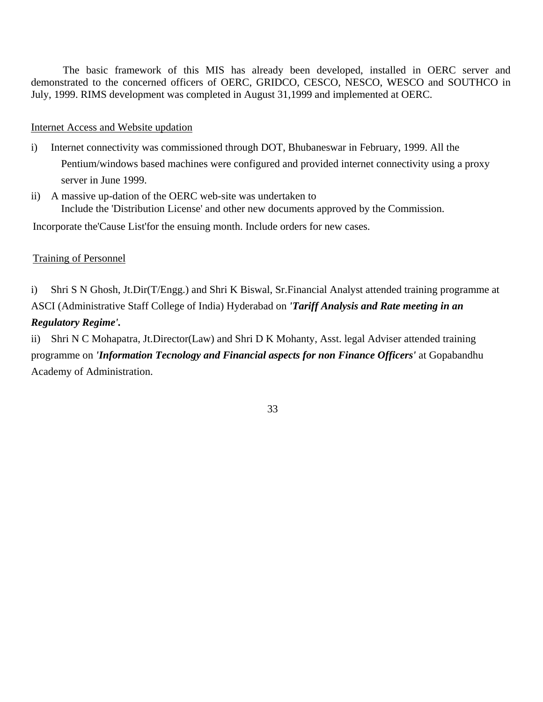The basic framework of this MIS has already been developed, installed in OERC server and demonstrated to the concerned officers of OERC, GRIDCO, CESCO, NESCO, WESCO and SOUTHCO in July, 1999. RIMS development was completed in August 31,1999 and implemented at OERC.

#### Internet Access and Website updation

- i) Internet connectivity was commissioned through DOT, Bhubaneswar in February, 1999. All the Pentium/windows based machines were configured and provided internet connectivity using a proxy server in June 1999.
- ii) A massive up-dation of the OERC web-site was undertaken to Include the 'Distribution License' and other new documents approved by the Commission.

Incorporate the'Cause List'for the ensuing month. Include orders for new cases.

#### Training of Personnel

i) Shri S N Ghosh, Jt.Dir(T/Engg.) and Shri K Biswal, Sr.Financial Analyst attended training programme at ASCI (Administrative Staff College of India) Hyderabad on *'Tariff Analysis and Rate meeting in an Regulatory Regime'.*

ii) Shri N C Mohapatra, Jt.Director(Law) and Shri D K Mohanty, Asst. legal Adviser attended training programme on *'Information Tecnology and Financial aspects for non Finance Officers'* at Gopabandhu Academy of Administration.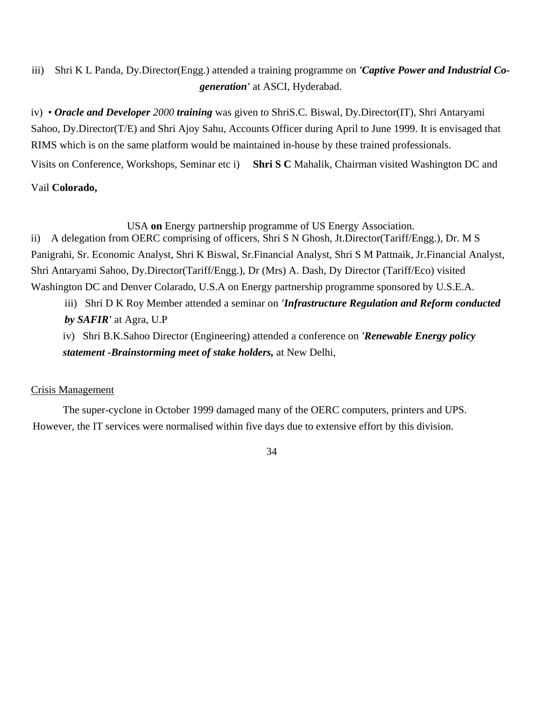## iii) Shri K L Panda, Dy.Director(Engg.) attended a training programme on *'Captive Power and Industrial Cogeneration'* at ASCI, Hyderabad.

iv) • *Oracle and Developer 2000 training* was given to ShriS.C. Biswal, Dy.Director(IT), Shri Antaryami Sahoo, Dy.Director(T/E) and Shri Ajoy Sahu, Accounts Officer during April to June 1999. It is envisaged that RIMS which is on the same platform would be maintained in-house by these trained professionals. Visits on Conference, Workshops, Seminar etc i) **Shri S C** Mahalik, Chairman visited Washington DC and

#### Vail **Colorado,**

USA **on** Energy partnership programme of US Energy Association.

ii) A delegation from OERC comprising of officers, Shri S N Ghosh, Jt.Director(Tariff/Engg.), Dr. M S Panigrahi, Sr. Economic Analyst, Shri K Biswal, Sr.Financial Analyst, Shri S M Pattnaik, Jr.Financial Analyst, Shri Antaryami Sahoo, Dy.Director(Tariff/Engg.), Dr (Mrs) A. Dash, Dy Director (Tariff/Eco) visited Washington DC and Denver Colarado, U.S.A on Energy partnership programme sponsored by U.S.E.A.

iii) Shri D K Roy Member attended a seminar on *'Infrastructure Regulation and Reform conducted by SAFIR'* at Agra, U.P

iv) Shri B.K.Sahoo Director (Engineering) attended a conference on *'Renewable Energy policy statement -Brainstorming meet of stake holders,* at New Delhi,

### Crisis Management

The super-cyclone in October 1999 damaged many of the OERC computers, printers and UPS. However, the IT services were normalised within five days due to extensive effort by this division.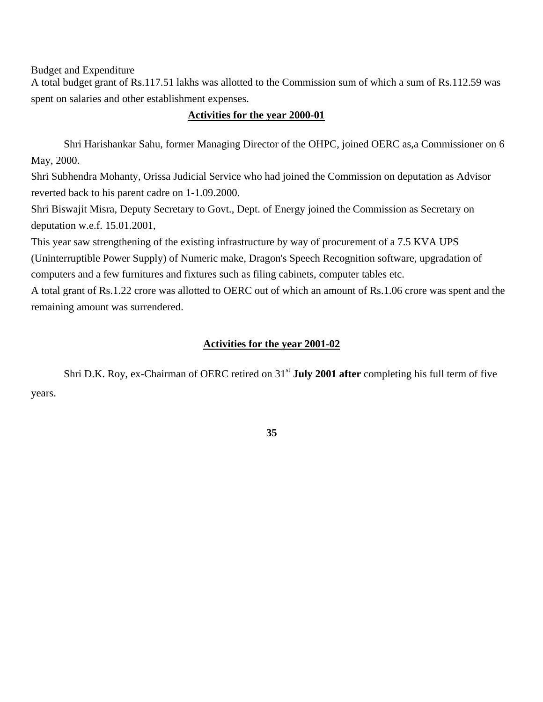Budget and Expenditure

A total budget grant of Rs.117.51 lakhs was allotted to the Commission sum of which a sum of Rs.112.59 was spent on salaries and other establishment expenses.

#### **Activities for the year 2000-01**

Shri Harishankar Sahu, former Managing Director of the OHPC, joined OERC as,a Commissioner on 6 May, 2000.

Shri Subhendra Mohanty, Orissa Judicial Service who had joined the Commission on deputation as Advisor reverted back to his parent cadre on 1-1.09.2000.

Shri Biswajit Misra, Deputy Secretary to Govt., Dept. of Energy joined the Commission as Secretary on deputation w.e.f. 15.01.2001,

This year saw strengthening of the existing infrastructure by way of procurement of a 7.5 KVA UPS

(Uninterruptible Power Supply) of Numeric make, Dragon's Speech Recognition software, upgradation of computers and a few furnitures and fixtures such as filing cabinets, computer tables etc.

A total grant of Rs.1.22 crore was allotted to OERC out of which an amount of Rs.1.06 crore was spent and the remaining amount was surrendered.

### **Activities for the year 2001-02**

Shri D.K. Roy, ex-Chairman of OERC retired on 31<sup>st</sup> July 2001 after completing his full term of five years.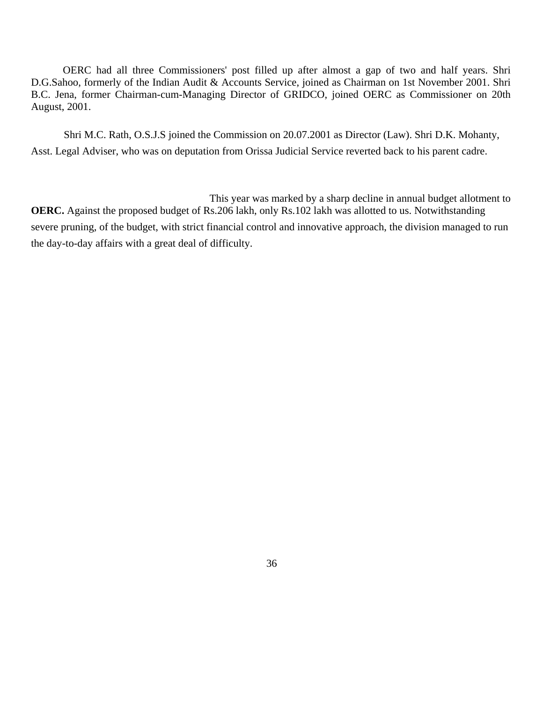OERC had all three Commissioners' post filled up after almost a gap of two and half years. Shri D.G.Sahoo, formerly of the Indian Audit & Accounts Service, joined as Chairman on 1st November 2001. Shri B.C. Jena, former Chairman-cum-Managing Director of GRIDCO, joined OERC as Commissioner on 20th August, 2001.

Shri M.C. Rath, O.S.J.S joined the Commission on 20.07.2001 as Director (Law). Shri D.K. Mohanty, Asst. Legal Adviser, who was on deputation from Orissa Judicial Service reverted back to his parent cadre.

This year was marked by a sharp decline in annual budget allotment to **OERC.** Against the proposed budget of Rs.206 lakh, only Rs.102 lakh was allotted to us. Notwithstanding severe pruning, of the budget, with strict financial control and innovative approach, the division managed to run the day-to-day affairs with a great deal of difficulty.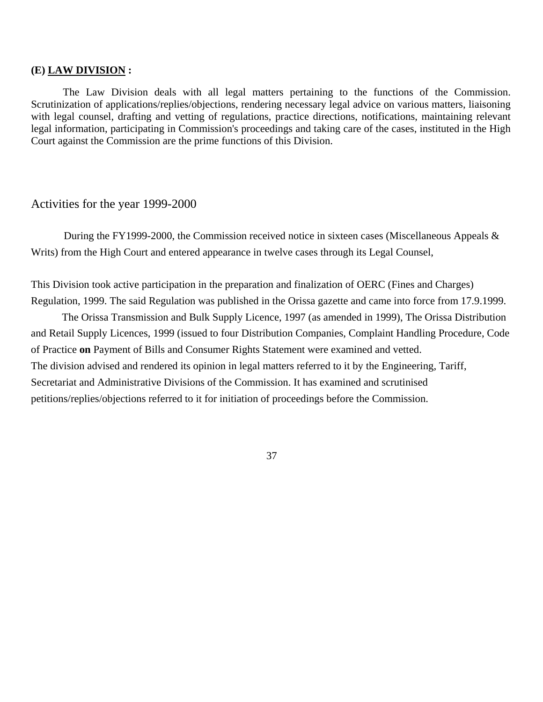#### **(E) LAW DIVISION :**

The Law Division deals with all legal matters pertaining to the functions of the Commission. Scrutinization of applications/replies/objections, rendering necessary legal advice on various matters, liaisoning with legal counsel, drafting and vetting of regulations, practice directions, notifications, maintaining relevant legal information, participating in Commission's proceedings and taking care of the cases, instituted in the High Court against the Commission are the prime functions of this Division.

#### Activities for the year 1999-2000

During the FY1999-2000, the Commission received notice in sixteen cases (Miscellaneous Appeals & Writs) from the High Court and entered appearance in twelve cases through its Legal Counsel,

This Division took active participation in the preparation and finalization of OERC (Fines and Charges) Regulation, 1999. The said Regulation was published in the Orissa gazette and came into force from 17.9.1999.

The Orissa Transmission and Bulk Supply Licence, 1997 (as amended in 1999), The Orissa Distribution and Retail Supply Licences, 1999 (issued to four Distribution Companies, Complaint Handling Procedure, Code of Practice **on** Payment of Bills and Consumer Rights Statement were examined and vetted. The division advised and rendered its opinion in legal matters referred to it by the Engineering, Tariff, Secretariat and Administrative Divisions of the Commission. It has examined and scrutinised petitions/replies/objections referred to it for initiation of proceedings before the Commission.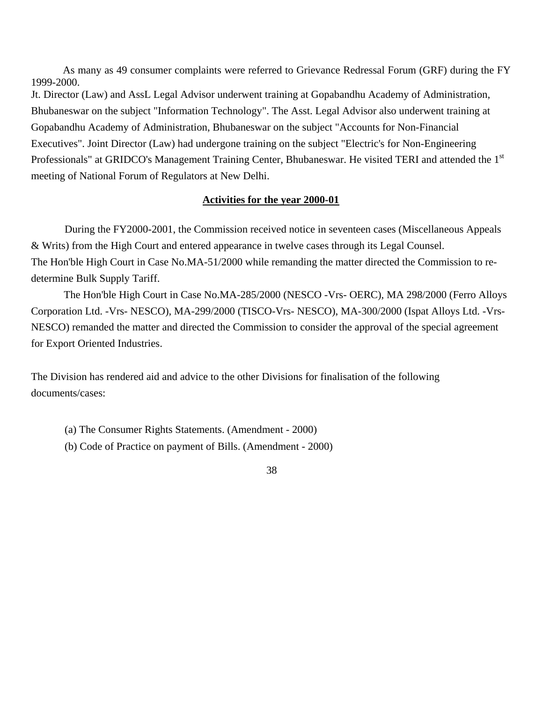As many as 49 consumer complaints were referred to Grievance Redressal Forum (GRF) during the FY 1999-2000.

Jt. Director (Law) and AssL Legal Advisor underwent training at Gopabandhu Academy of Administration, Bhubaneswar on the subject "Information Technology". The Asst. Legal Advisor also underwent training at Gopabandhu Academy of Administration, Bhubaneswar on the subject "Accounts for Non-Financial Executives". Joint Director (Law) had undergone training on the subject "Electric's for Non-Engineering Professionals" at GRIDCO's Management Training Center, Bhubaneswar. He visited TERI and attended the 1<sup>st</sup> meeting of National Forum of Regulators at New Delhi.

#### **Activities for the year 2000-01**

During the FY2000-2001, the Commission received notice in seventeen cases (Miscellaneous Appeals & Writs) from the High Court and entered appearance in twelve cases through its Legal Counsel. The Hon'ble High Court in Case No.MA-51/2000 while remanding the matter directed the Commission to redetermine Bulk Supply Tariff.

The Hon'ble High Court in Case No.MA-285/2000 (NESCO -Vrs- OERC), MA 298/2000 (Ferro Alloys Corporation Ltd. -Vrs- NESCO), MA-299/2000 (TISCO-Vrs- NESCO), MA-300/2000 (Ispat Alloys Ltd. -Vrs-NESCO) remanded the matter and directed the Commission to consider the approval of the special agreement for Export Oriented Industries.

The Division has rendered aid and advice to the other Divisions for finalisation of the following documents/cases:

- (a) The Consumer Rights Statements. (Amendment 2000)
- (b) Code of Practice on payment of Bills. (Amendment 2000)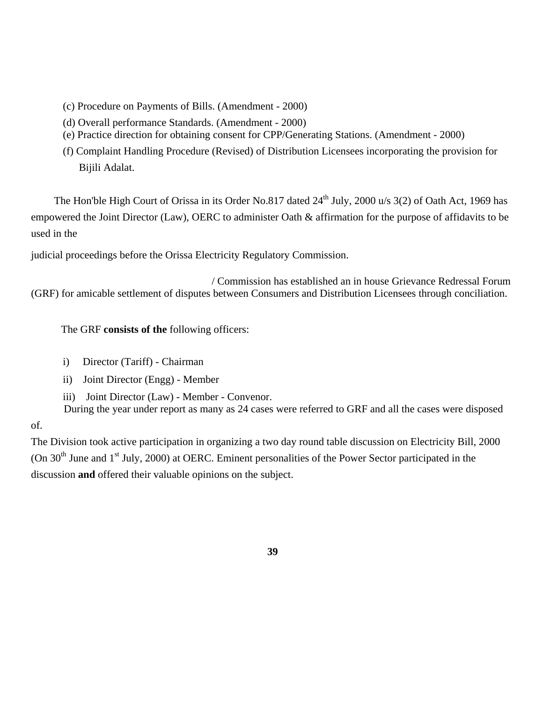- (c) Procedure on Payments of Bills. (Amendment 2000)
- (d) Overall performance Standards. (Amendment 2000)
- (e) Practice direction for obtaining consent for CPP/Generating Stations. (Amendment 2000)
- (f) Complaint Handling Procedure (Revised) of Distribution Licensees incorporating the provision for Bijili Adalat.

The Hon'ble High Court of Orissa in its Order No.817 dated  $24<sup>th</sup>$  July, 2000 u/s 3(2) of Oath Act, 1969 has empowered the Joint Director (Law), OERC to administer Oath & affirmation for the purpose of affidavits to be used in the

judicial proceedings before the Orissa Electricity Regulatory Commission.

/ Commission has established an in house Grievance Redressal Forum (GRF) for amicable settlement of disputes between Consumers and Distribution Licensees through conciliation.

The GRF **consists of the** following officers:

- i) Director (Tariff) Chairman
- ii) Joint Director (Engg) Member
- iii) Joint Director (Law) Member Convenor.

During the year under report as many as 24 cases were referred to GRF and all the cases were disposed

of.

The Division took active participation in organizing a two day round table discussion on Electricity Bill, 2000 (On  $30<sup>th</sup>$  June and  $1<sup>st</sup>$  July, 2000) at OERC. Eminent personalities of the Power Sector participated in the discussion **and** offered their valuable opinions on the subject.